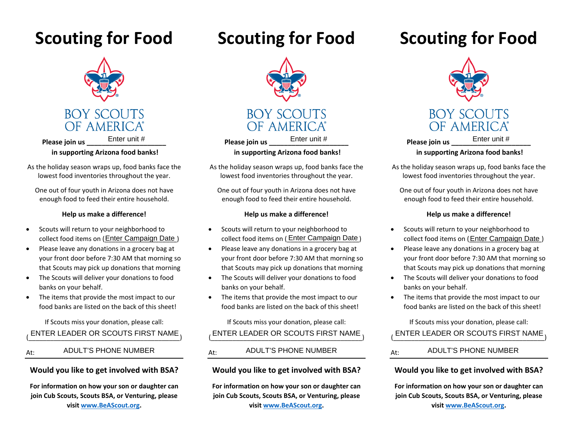# **Scouting for Food**



**in supporting Arizona food banks!**

As the holiday season wraps up, food banks face the lowest food inventories throughout the year.

One out of four youth in Arizona does not have enough food to feed their entire household.

#### **Help us make <sup>a</sup> difference!**

- •**•** Scouts will return to your neighborhood to collect food items on (<u>Enter Campaign Date )</u>
- • Please leave any donations in <sup>a</sup> grocery bag at your front door before 7:30 AM that morning so that Scouts may pick up donations that morning
- • The Scouts will deliver your donations to food banks on your behalf.
- • The items that provide the most impact to our food banks are listed on the back of this sheet!

If Scouts miss your donation, please call: (\_ENTER LEADER OR SCOUTS FIRST NAME<sub>)</sub>

At:ADULT'S PHONE NUMBER

#### **Would you like to get involved with BSA?**

**For information on how your son or daughter can join Cub Scouts, Scouts BSA, or Venturing, please visit www.BeAScout.org.**

## **Scouting for Food**



**in supporting Arizona food banks!**

As the holiday season wraps up, food banks face the lowest food inventories throughout the year.

One out of four youth in Arizona does not have enough food to feed their entire household.

#### **Help us make <sup>a</sup> difference!**

- •• Scouts will return to your neighborhood to e ) collect food items on <u>( Enter Campaign Date</u> ) collect food items on (<u>Enter Campaign Date</u>
	- $\bullet$  Please leave any donations in <sup>a</sup> grocery bag at your front door before 7:30 AM that morning so that Scouts may pick up donations that morning
	- • The Scouts will deliver your donations to food banks on your behalf.
	- The items that provide the most impact to our food banks are listed on the back of this sheet!

If Scouts miss your donation, please call: (\_\_\_\_\_\_\_\_\_\_\_\_\_\_\_\_\_\_\_\_\_\_\_\_\_\_\_\_\_\_\_\_\_\_\_\_\_\_\_\_\_\_) ENTER LEADER OR SCOUTS FIRST NAME ENTER LEADER OR SCOUTS FIRST NAME

At:

#### **Would you like to get involved with BSA?**

**For information on how your son or daughter can join Cub Scouts, Scouts BSA, or Venturing, please visit www.BeAScout.org.**

# **Scouting for Food**



**Please join us \_\_\_\_\_\_\_\_\_\_\_\_\_\_\_\_\_\_\_\_\_**

**in supporting Arizona food banks!**

As the holiday season wraps up, food banks face the lowest food inventories throughout the year.

One out of four youth in Arizona does not have enough food to feed their entire household.

#### **Help us make <sup>a</sup> difference!**

- • $\bullet$  Scouts will return to your neighborhood to collect food items on (<u>Enter Campaign Date )</u>
- • Please leave any donations in <sup>a</sup> grocery bag at your front door before 7:30 AM that morning so that Scouts may pick up donations that morning
- • The Scouts will deliver your donations to food banks on your behalf.
- The items that provide the most impact to our food banks are listed on the back of this sheet!

If Scouts miss your donation, please call: ENTER LEADER OR SCOUTS FIRST NAME

ADULT'S PHONE NUMBER At: ADULT'S PHONE NUMBER

At:

### **Would you like to get involved with BSA?**

**For information on how your son or daughter can join Cub Scouts, Scouts BSA, or Venturing, please visit www.BeAScout.org.**